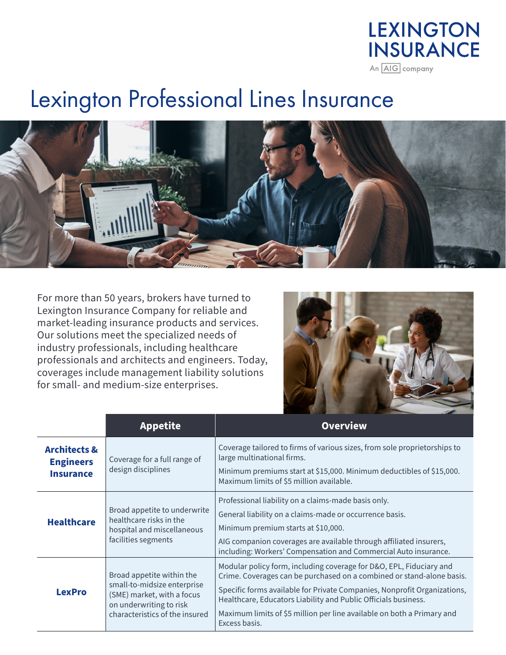## **LEXINGTON INSURANCE** An AIG company

## Lexington Professional Lines Insurance



For more than 50 years, brokers have turned to Lexington Insurance Company for reliable and market-leading insurance products and services. Our solutions meet the specialized needs of industry professionals, including healthcare professionals and architects and engineers. Today, coverages include management liability solutions for small- and medium-size enterprises.



|                                                                 | <b>Appetite</b>                                                                                                                                     | <b>Overview</b>                                                                                                                                                                                                                                                                                                                                                                       |
|-----------------------------------------------------------------|-----------------------------------------------------------------------------------------------------------------------------------------------------|---------------------------------------------------------------------------------------------------------------------------------------------------------------------------------------------------------------------------------------------------------------------------------------------------------------------------------------------------------------------------------------|
| <b>Architects &amp;</b><br><b>Engineers</b><br><b>Insurance</b> | Coverage for a full range of<br>design disciplines                                                                                                  | Coverage tailored to firms of various sizes, from sole proprietorships to<br>large multinational firms.<br>Minimum premiums start at \$15,000. Minimum deductibles of \$15,000.<br>Maximum limits of \$5 million available.                                                                                                                                                           |
| <b>Healthcare</b>                                               | Broad appetite to underwrite<br>healthcare risks in the<br>hospital and miscellaneous<br>facilities segments                                        | Professional liability on a claims-made basis only.<br>General liability on a claims-made or occurrence basis.<br>Minimum premium starts at \$10,000.<br>AIG companion coverages are available through affiliated insurers,<br>including: Workers' Compensation and Commercial Auto insurance.                                                                                        |
| <b>LexPro</b>                                                   | Broad appetite within the<br>small-to-midsize enterprise<br>(SME) market, with a focus<br>on underwriting to risk<br>characteristics of the insured | Modular policy form, including coverage for D&O, EPL, Fiduciary and<br>Crime. Coverages can be purchased on a combined or stand-alone basis.<br>Specific forms available for Private Companies, Nonprofit Organizations,<br>Healthcare, Educators Liability and Public Officials business.<br>Maximum limits of \$5 million per line available on both a Primary and<br>Excess basis. |